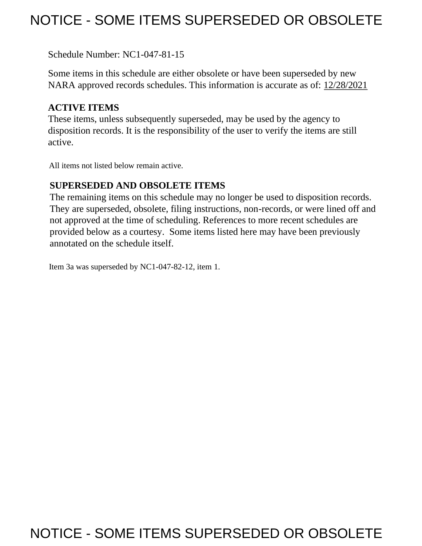## NOTICE - SOME ITEMS SUPERSEDED OR OBSOLETE

Schedule Number: NC1-047-81-15

 Some items in this schedule are either obsolete or have been superseded by new NARA approved records schedules. This information is accurate as of: 12/28/2021

## **ACTIVE ITEMS**

 These items, unless subsequently superseded, may be used by the agency to disposition records. It is the responsibility of the user to verify the items are still active.

All items not listed below remain active.

## **SUPERSEDED AND OBSOLETE ITEMS**

 The remaining items on this schedule may no longer be used to disposition records. not approved at the time of scheduling. References to more recent schedules are provided below as a courtesy. Some items listed here may have been previously They are superseded, obsolete, filing instructions, non-records, or were lined off and annotated on the schedule itself.

Item 3a was superseded by NC1-047-82-12, item 1.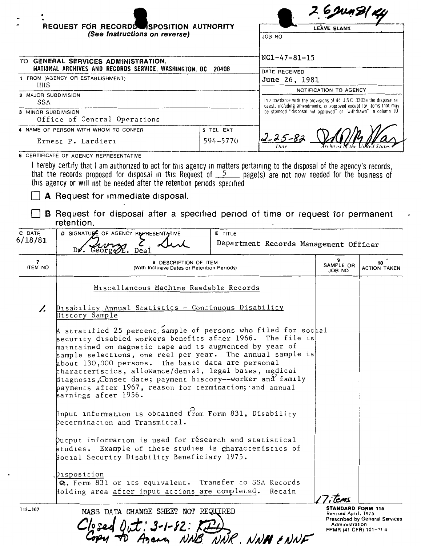|                            | REQUEST FOR RECORDS SPOSITION AUTHORITY<br>(See Instructions on reverse)<br>JOB NO                                                                                                                                                                                                                                                                                                                                                                                                                                           |                | <b>LEAVE BLANK</b>                                                                                                                   |                                                                                            |                                |
|----------------------------|------------------------------------------------------------------------------------------------------------------------------------------------------------------------------------------------------------------------------------------------------------------------------------------------------------------------------------------------------------------------------------------------------------------------------------------------------------------------------------------------------------------------------|----------------|--------------------------------------------------------------------------------------------------------------------------------------|--------------------------------------------------------------------------------------------|--------------------------------|
|                            | TO GENERAL SERVICES ADMINISTRATION,                                                                                                                                                                                                                                                                                                                                                                                                                                                                                          |                | $NC1-47-81-15$                                                                                                                       |                                                                                            |                                |
|                            | NATIONAL ARCHIVES AND RECORDS SERVICE, WASHINGTON, DC 20408<br>DATE RECEIVED                                                                                                                                                                                                                                                                                                                                                                                                                                                 |                |                                                                                                                                      |                                                                                            |                                |
| HHS                        | 1 FROM (AGENCY OR ESTABLISHMENT)                                                                                                                                                                                                                                                                                                                                                                                                                                                                                             |                | June 26, 1981                                                                                                                        |                                                                                            |                                |
| 2 MAJOR SUBDIVISION<br>SSA |                                                                                                                                                                                                                                                                                                                                                                                                                                                                                                                              |                | In accordance with the provisions of 44 U.S.C. 3303a the disposal re-                                                                | NOTIFICATION TO AGENCY                                                                     |                                |
| 3 MINOR SUBDIVISION        |                                                                                                                                                                                                                                                                                                                                                                                                                                                                                                                              |                | quest, including amendments, is approved except for items that may<br>be stamped "disposal not approved" or "withdrawn" in column 10 |                                                                                            |                                |
|                            | Office of Central Operations<br>4 NAME OF PERSON WITH WHOM TO CONFER                                                                                                                                                                                                                                                                                                                                                                                                                                                         | 5 TEL EXT      |                                                                                                                                      |                                                                                            |                                |
|                            | Ernest P. Lardieri                                                                                                                                                                                                                                                                                                                                                                                                                                                                                                           | 594-5770       | 2-25-83                                                                                                                              |                                                                                            |                                |
|                            | 6 CERTIFICATE OF AGENCY REPRESENTATIVE                                                                                                                                                                                                                                                                                                                                                                                                                                                                                       |                |                                                                                                                                      |                                                                                            |                                |
|                            | that the records proposed for disposal in this Request of $5$ page(s) are not now needed for the business of<br>this agency or will not be needed after the retention periods specified<br>A Request for immediate disposal.<br><b>B</b> Request for disposal after a specified period of time or request for permanent<br>retention.                                                                                                                                                                                        |                |                                                                                                                                      |                                                                                            |                                |
| C DATE                     | D SIGNATUPE OF AGENCY REPRESENTATIVE                                                                                                                                                                                                                                                                                                                                                                                                                                                                                         | <b>E</b> TITLE |                                                                                                                                      |                                                                                            |                                |
| 6/18/81                    | Dr. George<br>Deal                                                                                                                                                                                                                                                                                                                                                                                                                                                                                                           |                | Department Records Management Officer                                                                                                |                                                                                            |                                |
| 7<br><b>ITEM NO</b>        | 8 DESCRIPTION OF ITEM<br>(With Inclusive Dates or Retention Periods)                                                                                                                                                                                                                                                                                                                                                                                                                                                         |                |                                                                                                                                      | SAMPLE OR<br><b>ON 8OL</b>                                                                 | 10<br><b>ACTION TAKEN</b>      |
|                            | Miscellaneous Machine Readable Records                                                                                                                                                                                                                                                                                                                                                                                                                                                                                       |                |                                                                                                                                      |                                                                                            |                                |
|                            | Disability Annua <u>l Statistics - Continuous Disability</u><br>History Sample                                                                                                                                                                                                                                                                                                                                                                                                                                               |                |                                                                                                                                      |                                                                                            |                                |
|                            | A stratified 25 percent sample of persons who filed for sochal<br>security disabled workers benefits after 1966. The file is<br>$\,$ maintained on magnetic tape and is augmented by year of<br>sample selections, one reel per year. The annual sample is<br>about 130,000 persons. The basic data are personal<br>characteristics, allowance/denial, legal bases, medical<br>diagnosis, Conset date; payment history--worker and family<br>payments after 1967, reason for termination; and annual<br>earnings after 1956. |                |                                                                                                                                      |                                                                                            |                                |
|                            | Input information is obtained from Form 831, Disability<br>Decermination and Transmittal.                                                                                                                                                                                                                                                                                                                                                                                                                                    |                |                                                                                                                                      |                                                                                            |                                |
|                            | Qutput information is used for research and statistical<br>studies. Example of these studies is characteristics of<br>Social Security Disability Beneficiary 1975.                                                                                                                                                                                                                                                                                                                                                           |                |                                                                                                                                      |                                                                                            |                                |
|                            | Dısposition<br>Q. Form 831 or its equivalent. Transfer to SSA Records<br>Holding area after input actions are completed. Retain                                                                                                                                                                                                                                                                                                                                                                                              |                |                                                                                                                                      |                                                                                            |                                |
| 115-107                    | MASS DATA CHANGE SHEET NOT REQUIRED<br>$C/s$ sed $0$ ut: 3-1-82: KED<br>M TO Agency NNB NNR. NNH ENNF                                                                                                                                                                                                                                                                                                                                                                                                                        |                |                                                                                                                                      | <b>STANDARD FORM 115</b><br>Revised April, 1975<br>Administration<br>FPMR (41 CFR) 101-114 | Prescribed by General Services |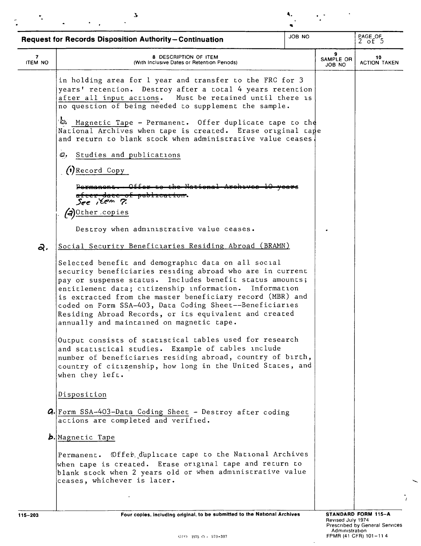| $\overline{7}$<br><b>ITEM NO</b><br>۵ | 8 DESCRIPTION OF ITEM<br>(With Inclusive Dates or Retention Periods)<br>in holding area for 1 year and transfer to the FRC for 3<br>years' retention. Destroy after a total 4 years retention<br>after all input actions. Must be retained until there is<br>no question of being needed to supplement the sample.<br>Magnetic Tape - Permanent. Offer duplicate tape to the                                                                                          | 9<br>SAMPLE OR<br><b>JOB NO</b> | 10<br><b>ACTION TAKEN</b> |
|---------------------------------------|-----------------------------------------------------------------------------------------------------------------------------------------------------------------------------------------------------------------------------------------------------------------------------------------------------------------------------------------------------------------------------------------------------------------------------------------------------------------------|---------------------------------|---------------------------|
|                                       |                                                                                                                                                                                                                                                                                                                                                                                                                                                                       |                                 |                           |
|                                       |                                                                                                                                                                                                                                                                                                                                                                                                                                                                       |                                 |                           |
|                                       | National Archives when tape is created. Erase original tape<br>and return to blank stock when administrative value ceases                                                                                                                                                                                                                                                                                                                                             |                                 |                           |
| C, Studies and publications           |                                                                                                                                                                                                                                                                                                                                                                                                                                                                       |                                 |                           |
| $()$ Record Copy                      |                                                                                                                                                                                                                                                                                                                                                                                                                                                                       |                                 |                           |
| See Kem ?                             | paviro                                                                                                                                                                                                                                                                                                                                                                                                                                                                |                                 |                           |
| (a) Other copies                      |                                                                                                                                                                                                                                                                                                                                                                                                                                                                       |                                 |                           |
|                                       | Destroy when administrative value ceases.                                                                                                                                                                                                                                                                                                                                                                                                                             |                                 |                           |
| ą,                                    | Social Security Beneficiaries Residing Abroad (BRAMN)                                                                                                                                                                                                                                                                                                                                                                                                                 |                                 |                           |
|                                       | Selected benefit and demographic data on all social<br>security beneficiaries residing abroad who are in current<br>pay or suspense status. Includes benefit status amounts;<br>entitlement data; citizenship information. Information<br>is extracted from the master beneficiary record (MBR) and<br>coded on Form SSA-403, Data Coding Sheet--Beneficiaries<br>Residing Abroad Records, or its equivalent and created<br>annually and maintained on magnetic tape. |                                 |                           |
| when they left.                       | Output consists of statistical tables used for research<br>and statistical studies. Example of tables include<br>number of beneficiaries residing abroad, country of birth,<br>country of citizenship, how long in the United States, and                                                                                                                                                                                                                             |                                 |                           |
| Disposition                           |                                                                                                                                                                                                                                                                                                                                                                                                                                                                       |                                 |                           |
| actions are completed and verified.   | <b>a.</b> Form SSA-403-Data Coding Sheet - Destroy after coding                                                                                                                                                                                                                                                                                                                                                                                                       |                                 |                           |
| b. Magnetic Tape                      |                                                                                                                                                                                                                                                                                                                                                                                                                                                                       |                                 |                           |
| ceases, whichever is later.           | Permanent. Offer duplicate tape to the National Archives<br>when tape is created. Erase original tape and return to<br>blank stock when 2 years old or when administrative value                                                                                                                                                                                                                                                                                      |                                 |                           |

Four copies, including original, to be submitted to the National Archives

 $\ddot{\phantom{a}}$ 

 $\overline{\phantom{0}}$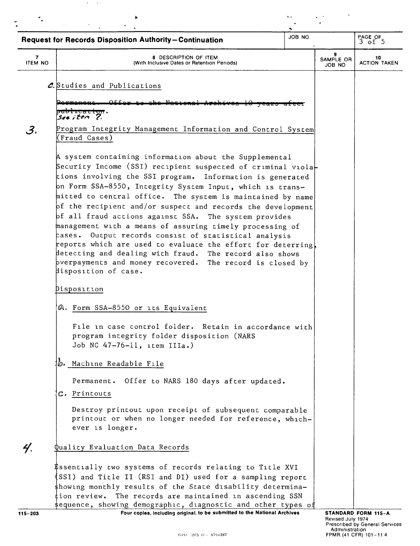| JOB NO<br><b>Request for Records Disposition Authority-Continuation</b> |                                                                                                                                                                                                                                                                                                                                   |  | PAGE OF<br>3 of 5   |                           |
|-------------------------------------------------------------------------|-----------------------------------------------------------------------------------------------------------------------------------------------------------------------------------------------------------------------------------------------------------------------------------------------------------------------------------|--|---------------------|---------------------------|
| 7<br><b>ITEM NO</b>                                                     | 8 DESCRIPTION OF ITEM<br>(With Inclusive Dates or Retention Periods)                                                                                                                                                                                                                                                              |  | SAMPLE OR<br>JOB NO | 10<br><b>ACTION TAKEN</b> |
|                                                                         | C. Studies and Publications                                                                                                                                                                                                                                                                                                       |  |                     |                           |
|                                                                         |                                                                                                                                                                                                                                                                                                                                   |  |                     |                           |
|                                                                         | Juviicacion.<br>seeiten 7.                                                                                                                                                                                                                                                                                                        |  |                     |                           |
| 3.                                                                      | Program Integrity Management Information and Control System<br>(Fraud Cases)                                                                                                                                                                                                                                                      |  |                     |                           |
|                                                                         | A system containing information about the Supplemental<br>$\,$ Security Income (SSI) recipient suspected of criminal viola $\,$ $\,$<br>tions involving the SSI program. Information is generated<br>on Form SSA-8550, Integrity System Input, which is trans-                                                                    |  |                     |                           |
|                                                                         | mitted to central office. The system is maintained by name<br>of the recipient and/or suspect and records the development<br>of all fraud actions against SSA. The system provides                                                                                                                                                |  |                     |                           |
|                                                                         | management with a means of assuring timely processing of<br>cases. Output records consist of statistical analysis<br>reports which are used to evaluate the effort for deterring,<br>detecting and dealing with fraud. The record also shows<br>bverpayments and money recovered. The record is closed by<br>disposition of case. |  |                     |                           |
|                                                                         | Disposition                                                                                                                                                                                                                                                                                                                       |  |                     |                           |
|                                                                         | A. Form SSA-8550 or its Equivalent                                                                                                                                                                                                                                                                                                |  |                     |                           |
|                                                                         | File in case control folder. Retain in accordance with<br>program integrity folder disposition (NARS<br>Job NC 47-76-11, item IIIa.)                                                                                                                                                                                              |  |                     |                           |
|                                                                         | D. Machine Readable File                                                                                                                                                                                                                                                                                                          |  |                     |                           |
|                                                                         | Permanent. Offer to NARS 180 days after updated.                                                                                                                                                                                                                                                                                  |  |                     |                           |
|                                                                         | C. Printouts                                                                                                                                                                                                                                                                                                                      |  |                     |                           |
|                                                                         | Destroy printout upon receipt of subsequent comparable<br>printout or when no longer needed for reference, which-<br>ever is longer.                                                                                                                                                                                              |  |                     |                           |
| 4.                                                                      | Quality Evaluation Data Records                                                                                                                                                                                                                                                                                                   |  |                     |                           |
|                                                                         | <b>\$ssentially two systems of records relating to Title XVI</b><br>(SSI) and Title II (RSI and DI) used for a sampling report                                                                                                                                                                                                    |  |                     |                           |
|                                                                         | \$howing monthly results of the State disability determina-<br>The records are maintained in ascending SSN<br>tion review.<br>\$equence, showing demographic, diagnostic and other types of                                                                                                                                       |  |                     |                           |

 $\mathcal{O}(\mathbf{w})$  and  $\mathbf{w}$ 

Four coples, including original, to be submitted to the National Archives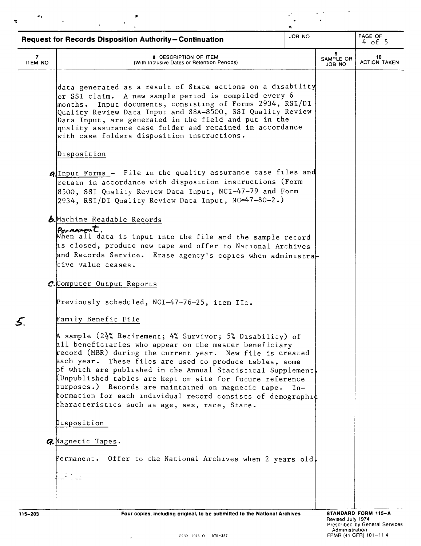|                     | JOB NO<br><b>Request for Records Disposition Authority-Continuation</b>                                                                                                                                                                                                                                                                                                                                                                                                                                                                             |       |                          | PAGE OF<br>$4$ of 5       |
|---------------------|-----------------------------------------------------------------------------------------------------------------------------------------------------------------------------------------------------------------------------------------------------------------------------------------------------------------------------------------------------------------------------------------------------------------------------------------------------------------------------------------------------------------------------------------------------|-------|--------------------------|---------------------------|
| 7<br><b>ITEM NO</b> | <b>8 DESCRIPTION OF ITEM</b><br>(With Inclusive Dates or Retention Periods)                                                                                                                                                                                                                                                                                                                                                                                                                                                                         |       | 9<br>SAMPLE OR<br>JOB NO | 10<br><b>ACTION TAKEN</b> |
|                     | data generated as a result of State actions on a disability<br>$\overline{\rm{or}}$ SSI claim. A new sample period is compiled every $6$<br>Input documents, consisting of Forms 2934, RSI/DI<br>$\operatorname{\mathsf{months}}$ .<br>Quality Review Data Input and SSA-8500, SSI Quality Review<br>Data Input, are generated in the field and put in the<br>quality assurance case folder and retained in accordance<br>with case folders disposition instructions.                                                                               |       |                          |                           |
|                     | Disposition                                                                                                                                                                                                                                                                                                                                                                                                                                                                                                                                         |       |                          |                           |
|                     | AlInput Forms - File in the quality assurance case files and<br>retain in accordance with disposition instructions (Form<br>8500, SSI Quality Review Data Input, NCI-47-79 and Form<br>2934, RSI/DI Quality Review Data Input, NC-47-80-2.)                                                                                                                                                                                                                                                                                                         |       |                          |                           |
|                     | b.Machine Readable Records                                                                                                                                                                                                                                                                                                                                                                                                                                                                                                                          |       |                          |                           |
|                     | $Pe$ <sub>r</sub> manent.<br>When all data is input into the file and the sample record<br>1s closed, produce new tape and offer to National Archives<br>and Records Service. Erase agency's copies when administra-<br>tive value ceases.                                                                                                                                                                                                                                                                                                          |       |                          |                           |
|                     | C.Computer Output Reports                                                                                                                                                                                                                                                                                                                                                                                                                                                                                                                           |       |                          |                           |
|                     | Previously scheduled, NCI-47-76-25, item IIc.                                                                                                                                                                                                                                                                                                                                                                                                                                                                                                       |       |                          |                           |
|                     | Family Benefit File                                                                                                                                                                                                                                                                                                                                                                                                                                                                                                                                 |       |                          |                           |
|                     | A sample (2½% Retirement; 4% Survivor; 5% Dısability) of<br>all beneficiaries who appear on the master beneficiary<br>record (MBR) during the current year. New file is created<br>each year. These files are used to produce tables, some<br>pf which are published in the Annual Statistical Supplement<br>$\,$ Unpublished tables are kept on site for future reference<br>purposes.) Records are maintained on magnetic tape.<br>formation for each individual record consists of demographic<br>characteristics such as age, sex, race, State. | $In-$ |                          |                           |
|                     | <b>Pisposition</b>                                                                                                                                                                                                                                                                                                                                                                                                                                                                                                                                  |       |                          |                           |
|                     | <i><b>Q.Magnetic Tapes.</b></i>                                                                                                                                                                                                                                                                                                                                                                                                                                                                                                                     |       |                          |                           |
|                     | Permanent. Offer to the National Archives when 2 years old,                                                                                                                                                                                                                                                                                                                                                                                                                                                                                         |       |                          |                           |
|                     |                                                                                                                                                                                                                                                                                                                                                                                                                                                                                                                                                     |       |                          |                           |
|                     |                                                                                                                                                                                                                                                                                                                                                                                                                                                                                                                                                     |       |                          |                           |